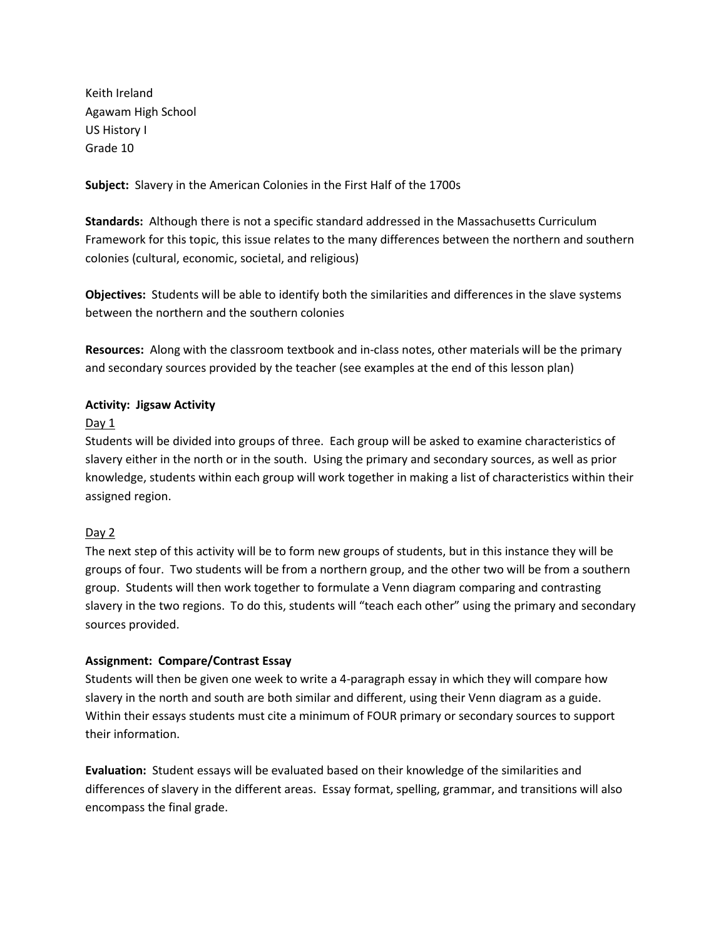Keith Ireland Agawam High School US History I Grade 10

**Subject:** Slavery in the American Colonies in the First Half of the 1700s

**Standards:** Although there is not a specific standard addressed in the Massachusetts Curriculum Framework for this topic, this issue relates to the many differences between the northern and southern colonies (cultural, economic, societal, and religious)

**Objectives:** Students will be able to identify both the similarities and differences in the slave systems between the northern and the southern colonies

**Resources:** Along with the classroom textbook and in-class notes, other materials will be the primary and secondary sources provided by the teacher (see examples at the end of this lesson plan)

# **Activity: Jigsaw Activity**

## Day 1

Students will be divided into groups of three. Each group will be asked to examine characteristics of slavery either in the north or in the south. Using the primary and secondary sources, as well as prior knowledge, students within each group will work together in making a list of characteristics within their assigned region.

## Day 2

The next step of this activity will be to form new groups of students, but in this instance they will be groups of four. Two students will be from a northern group, and the other two will be from a southern group. Students will then work together to formulate a Venn diagram comparing and contrasting slavery in the two regions. To do this, students will "teach each other" using the primary and secondary sources provided.

## **Assignment: Compare/Contrast Essay**

Students will then be given one week to write a 4-paragraph essay in which they will compare how slavery in the north and south are both similar and different, using their Venn diagram as a guide. Within their essays students must cite a minimum of FOUR primary or secondary sources to support their information.

**Evaluation:** Student essays will be evaluated based on their knowledge of the similarities and differences of slavery in the different areas. Essay format, spelling, grammar, and transitions will also encompass the final grade.